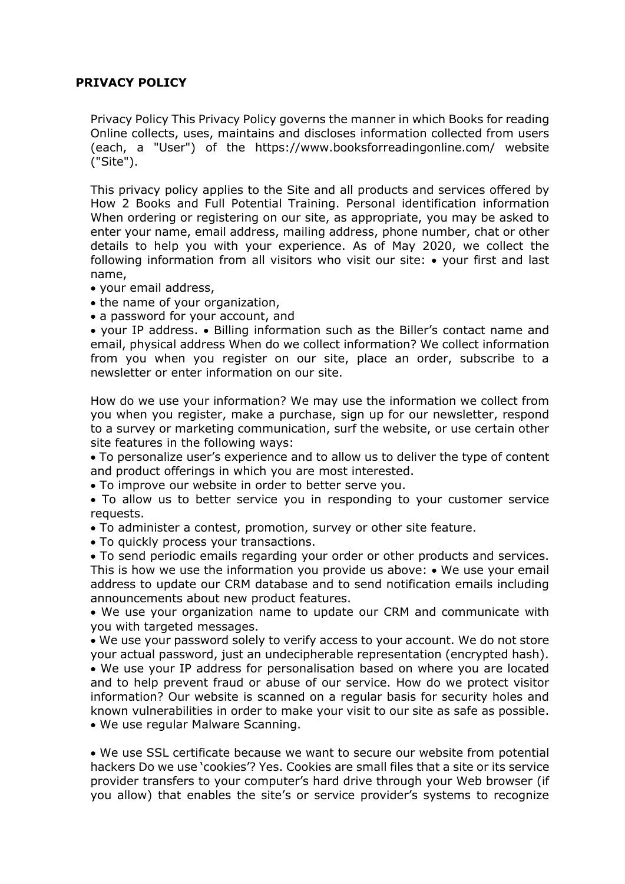## **PRIVACY POLICY**

Privacy Policy This Privacy Policy governs the manner in which Books for reading Online collects, uses, maintains and discloses information collected from users (each, a "User") of the https://www.booksforreadingonline.com/ website ("Site").

This privacy policy applies to the Site and all products and services offered by How 2 Books and Full Potential Training. Personal identification information When ordering or registering on our site, as appropriate, you may be asked to enter your name, email address, mailing address, phone number, chat or other details to help you with your experience. As of May 2020, we collect the following information from all visitors who visit our site: • your first and last name,

- your email address,
- the name of your organization,
- a password for your account, and

• your IP address. • Billing information such as the Biller's contact name and email, physical address When do we collect information? We collect information from you when you register on our site, place an order, subscribe to a newsletter or enter information on our site.

How do we use your information? We may use the information we collect from you when you register, make a purchase, sign up for our newsletter, respond to a survey or marketing communication, surf the website, or use certain other site features in the following ways:

• To personalize user's experience and to allow us to deliver the type of content and product offerings in which you are most interested.

• To improve our website in order to better serve you.

• To allow us to better service you in responding to your customer service requests.

• To administer a contest, promotion, survey or other site feature.

• To quickly process your transactions.

• To send periodic emails regarding your order or other products and services. This is how we use the information you provide us above: • We use your email address to update our CRM database and to send notification emails including announcements about new product features.

• We use your organization name to update our CRM and communicate with you with targeted messages.

• We use your password solely to verify access to your account. We do not store your actual password, just an undecipherable representation (encrypted hash).

• We use your IP address for personalisation based on where you are located and to help prevent fraud or abuse of our service. How do we protect visitor information? Our website is scanned on a regular basis for security holes and known vulnerabilities in order to make your visit to our site as safe as possible. • We use regular Malware Scanning.

• We use SSL certificate because we want to secure our website from potential hackers Do we use 'cookies'? Yes. Cookies are small files that a site or its service provider transfers to your computer's hard drive through your Web browser (if you allow) that enables the site's or service provider's systems to recognize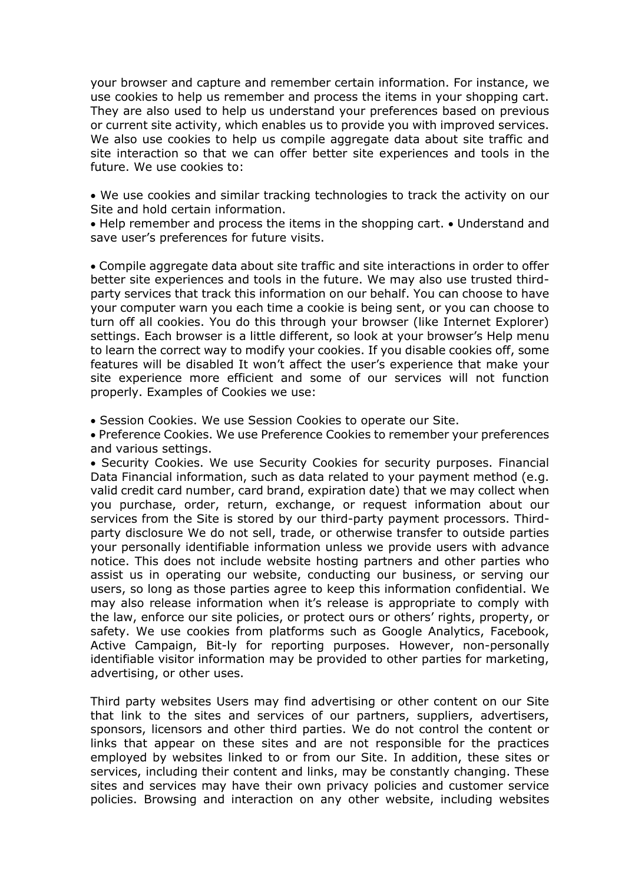your browser and capture and remember certain information. For instance, we use cookies to help us remember and process the items in your shopping cart. They are also used to help us understand your preferences based on previous or current site activity, which enables us to provide you with improved services. We also use cookies to help us compile aggregate data about site traffic and site interaction so that we can offer better site experiences and tools in the future. We use cookies to:

• We use cookies and similar tracking technologies to track the activity on our Site and hold certain information.

• Help remember and process the items in the shopping cart. • Understand and save user's preferences for future visits.

• Compile aggregate data about site traffic and site interactions in order to offer better site experiences and tools in the future. We may also use trusted thirdparty services that track this information on our behalf. You can choose to have your computer warn you each time a cookie is being sent, or you can choose to turn off all cookies. You do this through your browser (like Internet Explorer) settings. Each browser is a little different, so look at your browser's Help menu to learn the correct way to modify your cookies. If you disable cookies off, some features will be disabled It won't affect the user's experience that make your site experience more efficient and some of our services will not function properly. Examples of Cookies we use:

• Session Cookies. We use Session Cookies to operate our Site.

• Preference Cookies. We use Preference Cookies to remember your preferences and various settings.

• Security Cookies. We use Security Cookies for security purposes. Financial Data Financial information, such as data related to your payment method (e.g. valid credit card number, card brand, expiration date) that we may collect when you purchase, order, return, exchange, or request information about our services from the Site is stored by our third-party payment processors. Thirdparty disclosure We do not sell, trade, or otherwise transfer to outside parties your personally identifiable information unless we provide users with advance notice. This does not include website hosting partners and other parties who assist us in operating our website, conducting our business, or serving our users, so long as those parties agree to keep this information confidential. We may also release information when it's release is appropriate to comply with the law, enforce our site policies, or protect ours or others' rights, property, or safety. We use cookies from platforms such as Google Analytics, Facebook, Active Campaign, Bit-ly for reporting purposes. However, non-personally identifiable visitor information may be provided to other parties for marketing, advertising, or other uses.

Third party websites Users may find advertising or other content on our Site that link to the sites and services of our partners, suppliers, advertisers, sponsors, licensors and other third parties. We do not control the content or links that appear on these sites and are not responsible for the practices employed by websites linked to or from our Site. In addition, these sites or services, including their content and links, may be constantly changing. These sites and services may have their own privacy policies and customer service policies. Browsing and interaction on any other website, including websites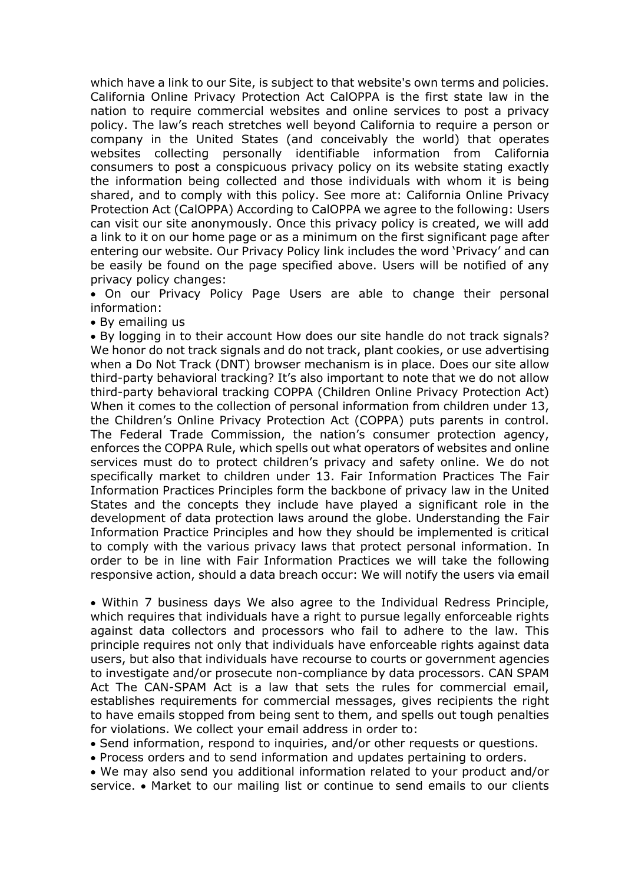which have a link to our Site, is subject to that website's own terms and policies. California Online Privacy Protection Act CalOPPA is the first state law in the nation to require commercial websites and online services to post a privacy policy. The law's reach stretches well beyond California to require a person or company in the United States (and conceivably the world) that operates websites collecting personally identifiable information from California consumers to post a conspicuous privacy policy on its website stating exactly the information being collected and those individuals with whom it is being shared, and to comply with this policy. See more at: California Online Privacy Protection Act (CalOPPA) According to CalOPPA we agree to the following: Users can visit our site anonymously. Once this privacy policy is created, we will add a link to it on our home page or as a minimum on the first significant page after entering our website. Our Privacy Policy link includes the word 'Privacy' and can be easily be found on the page specified above. Users will be notified of any privacy policy changes:

• On our Privacy Policy Page Users are able to change their personal information:

• By emailing us

• By logging in to their account How does our site handle do not track signals? We honor do not track signals and do not track, plant cookies, or use advertising when a Do Not Track (DNT) browser mechanism is in place. Does our site allow third-party behavioral tracking? It's also important to note that we do not allow third-party behavioral tracking COPPA (Children Online Privacy Protection Act) When it comes to the collection of personal information from children under 13, the Children's Online Privacy Protection Act (COPPA) puts parents in control. The Federal Trade Commission, the nation's consumer protection agency, enforces the COPPA Rule, which spells out what operators of websites and online services must do to protect children's privacy and safety online. We do not specifically market to children under 13. Fair Information Practices The Fair Information Practices Principles form the backbone of privacy law in the United States and the concepts they include have played a significant role in the development of data protection laws around the globe. Understanding the Fair Information Practice Principles and how they should be implemented is critical to comply with the various privacy laws that protect personal information. In order to be in line with Fair Information Practices we will take the following responsive action, should a data breach occur: We will notify the users via email

• Within 7 business days We also agree to the Individual Redress Principle, which requires that individuals have a right to pursue legally enforceable rights against data collectors and processors who fail to adhere to the law. This principle requires not only that individuals have enforceable rights against data users, but also that individuals have recourse to courts or government agencies to investigate and/or prosecute non-compliance by data processors. CAN SPAM Act The CAN-SPAM Act is a law that sets the rules for commercial email, establishes requirements for commercial messages, gives recipients the right to have emails stopped from being sent to them, and spells out tough penalties for violations. We collect your email address in order to:

• Send information, respond to inquiries, and/or other requests or questions.

• Process orders and to send information and updates pertaining to orders.

• We may also send you additional information related to your product and/or service. • Market to our mailing list or continue to send emails to our clients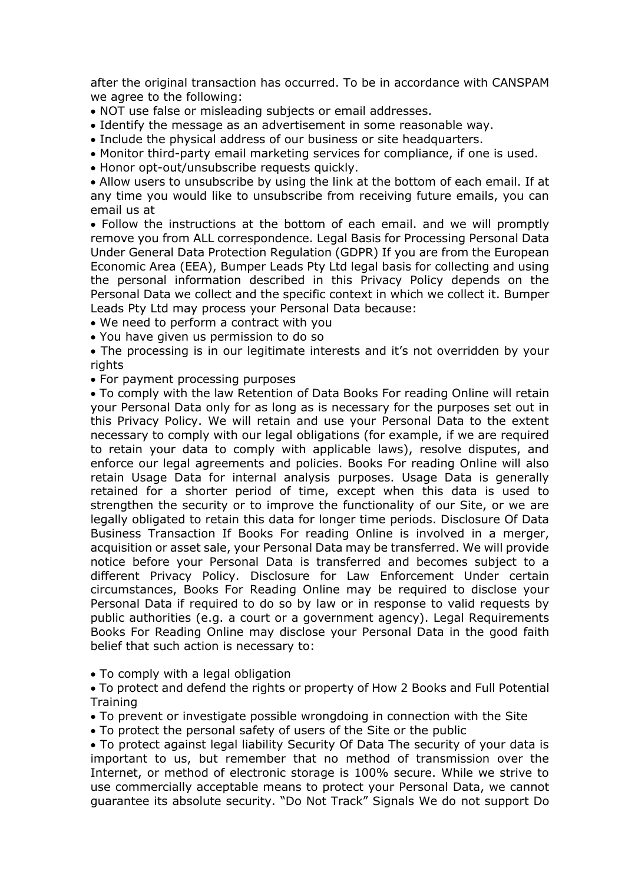after the original transaction has occurred. To be in accordance with CANSPAM we agree to the following:

• NOT use false or misleading subjects or email addresses.

• Identify the message as an advertisement in some reasonable way.

• Include the physical address of our business or site headquarters.

• Monitor third-party email marketing services for compliance, if one is used.

• Honor opt-out/unsubscribe requests quickly.

• Allow users to unsubscribe by using the link at the bottom of each email. If at any time you would like to unsubscribe from receiving future emails, you can email us at

• Follow the instructions at the bottom of each email. and we will promptly remove you from ALL correspondence. Legal Basis for Processing Personal Data Under General Data Protection Regulation (GDPR) If you are from the European Economic Area (EEA), Bumper Leads Pty Ltd legal basis for collecting and using the personal information described in this Privacy Policy depends on the Personal Data we collect and the specific context in which we collect it. Bumper Leads Pty Ltd may process your Personal Data because:

• We need to perform a contract with you

• You have given us permission to do so

• The processing is in our legitimate interests and it's not overridden by your rights

• For payment processing purposes

• To comply with the law Retention of Data Books For reading Online will retain your Personal Data only for as long as is necessary for the purposes set out in this Privacy Policy. We will retain and use your Personal Data to the extent necessary to comply with our legal obligations (for example, if we are required to retain your data to comply with applicable laws), resolve disputes, and enforce our legal agreements and policies. Books For reading Online will also retain Usage Data for internal analysis purposes. Usage Data is generally retained for a shorter period of time, except when this data is used to strengthen the security or to improve the functionality of our Site, or we are legally obligated to retain this data for longer time periods. Disclosure Of Data Business Transaction If Books For reading Online is involved in a merger, acquisition or asset sale, your Personal Data may be transferred. We will provide notice before your Personal Data is transferred and becomes subject to a different Privacy Policy. Disclosure for Law Enforcement Under certain circumstances, Books For Reading Online may be required to disclose your Personal Data if required to do so by law or in response to valid requests by public authorities (e.g. a court or a government agency). Legal Requirements Books For Reading Online may disclose your Personal Data in the good faith belief that such action is necessary to:

• To comply with a legal obligation

• To protect and defend the rights or property of How 2 Books and Full Potential **Training** 

• To prevent or investigate possible wrongdoing in connection with the Site

• To protect the personal safety of users of the Site or the public

• To protect against legal liability Security Of Data The security of your data is important to us, but remember that no method of transmission over the Internet, or method of electronic storage is 100% secure. While we strive to use commercially acceptable means to protect your Personal Data, we cannot guarantee its absolute security. "Do Not Track" Signals We do not support Do